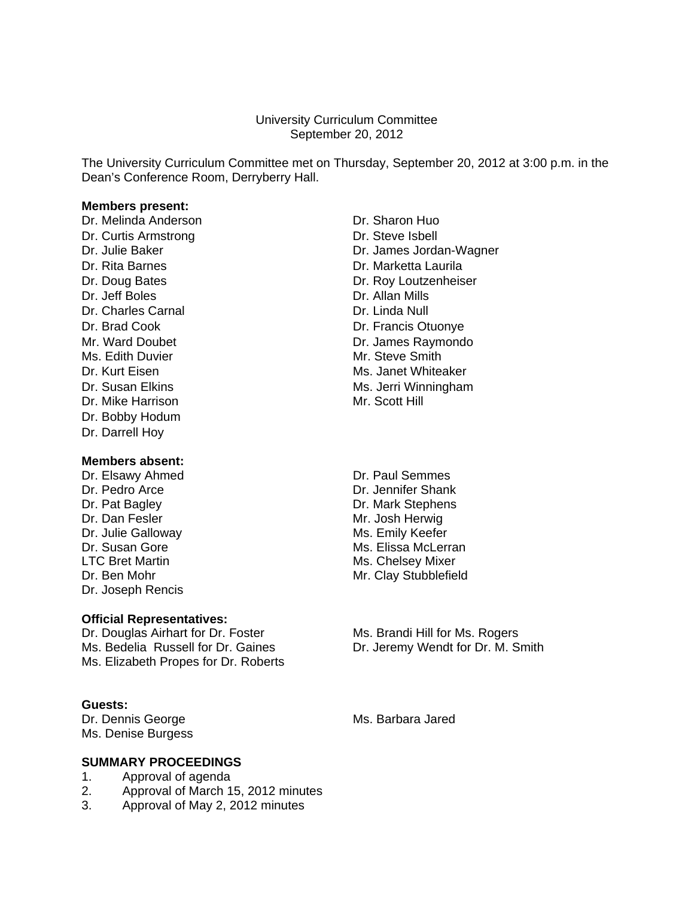### University Curriculum Committee September 20, 2012

The University Curriculum Committee met on Thursday, September 20, 2012 at 3:00 p.m. in the Dean's Conference Room, Derryberry Hall.

#### **Members present:**

Dr. Melinda Anderson **Dr. Sharon Huo** Dr. Curtis Armstrong Dr. Steve Isbell Dr. Jeff Boles Dr. Allan Mills Dr. Charles Carnal Dr. Linda Null Ms. Edith Duvier **Mr.** Steve Smith Dr. Mike Harrison Mr. Scott Hill Dr. Bobby Hodum Dr. Darrell Hoy

### **Members absent:**

Dr. Pedro Arce **Dr. Jennifer Shank** Dr. Pat Bagley **Dr. Mark Stephens** Dr. Dan Fesler Mr. Josh Herwig Dr. Julie Galloway Ms. Emily Keefer LTC Bret Martin Music Chelsey Mixer Dr. Joseph Rencis

#### **Official Representatives:**

Dr. Douglas Airhart for Dr. Foster Ms. Brandi Hill for Ms. Rogers<br>Ms. Bedelia Russell for Dr. Gaines Dr. Jeremy Wendt for Dr. M. S Ms. Elizabeth Propes for Dr. Roberts

#### **Guests:**

Dr. Dennis George Ms. Barbara Jared Ms. Denise Burgess

# **SUMMARY PROCEEDINGS**

- 1. Approval of agenda
- 2. Approval of March 15, 2012 minutes
- 3. Approval of May 2, 2012 minutes
- Dr. Julie Baker **Dr. James Jordan-Wagner** Dr. Rita Barnes **Dr. Marketta Laurila** Dr. Doug Bates **Dr. Roy Loutzenheiser** Dr. Brad Cook Dr. Francis Otuonye Mr. Ward Doubet **Dr. James Raymondo** Dr. Kurt Eisen Ms. Janet Whiteaker Dr. Susan Elkins Ms. Jerri Winningham
- Dr. Elsawy Ahmed Dr. Paul Semmes Dr. Susan Gore Ms. Elissa McLerran Dr. Ben Mohr Mathematic Music Clay Stubblefield

Dr. Jeremy Wendt for Dr. M. Smith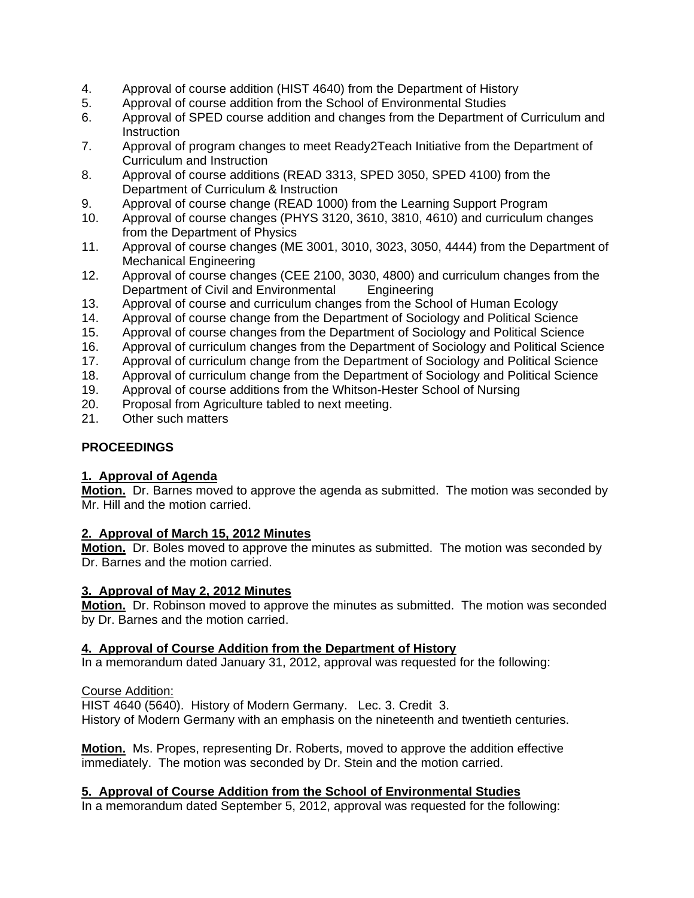- 4. Approval of course addition (HIST 4640) from the Department of History
- 5. Approval of course addition from the School of Environmental Studies
- 6. Approval of SPED course addition and changes from the Department of Curriculum and **Instruction**
- 7. Approval of program changes to meet Ready2Teach Initiative from the Department of Curriculum and Instruction
- 8. Approval of course additions (READ 3313, SPED 3050, SPED 4100) from the Department of Curriculum & Instruction
- 9. Approval of course change (READ 1000) from the Learning Support Program
- 10. Approval of course changes (PHYS 3120, 3610, 3810, 4610) and curriculum changes from the Department of Physics
- 11. Approval of course changes (ME 3001, 3010, 3023, 3050, 4444) from the Department of Mechanical Engineering
- 12. Approval of course changes (CEE 2100, 3030, 4800) and curriculum changes from the Department of Civil and Environmental Engineering
- 13. Approval of course and curriculum changes from the School of Human Ecology
- 14. Approval of course change from the Department of Sociology and Political Science
- 15. Approval of course changes from the Department of Sociology and Political Science
- 16. Approval of curriculum changes from the Department of Sociology and Political Science
- 17. Approval of curriculum change from the Department of Sociology and Political Science
- 18. Approval of curriculum change from the Department of Sociology and Political Science
- 19. Approval of course additions from the Whitson-Hester School of Nursing
- 20. Proposal from Agriculture tabled to next meeting.
- 21. Other such matters

# **PROCEEDINGS**

# **1. Approval of Agenda**

**Motion.** Dr. Barnes moved to approve the agenda as submitted. The motion was seconded by Mr. Hill and the motion carried.

# **2. Approval of March 15, 2012 Minutes**

**Motion.** Dr. Boles moved to approve the minutes as submitted. The motion was seconded by Dr. Barnes and the motion carried.

# **3. Approval of May 2, 2012 Minutes**

**Motion.** Dr. Robinson moved to approve the minutes as submitted. The motion was seconded by Dr. Barnes and the motion carried.

# **4. Approval of Course Addition from the Department of History**

In a memorandum dated January 31, 2012, approval was requested for the following:

# Course Addition:

HIST 4640 (5640). History of Modern Germany. Lec. 3. Credit 3. History of Modern Germany with an emphasis on the nineteenth and twentieth centuries.

**Motion.** Ms. Propes, representing Dr. Roberts, moved to approve the addition effective immediately. The motion was seconded by Dr. Stein and the motion carried.

# **5. Approval of Course Addition from the School of Environmental Studies**

In a memorandum dated September 5, 2012, approval was requested for the following: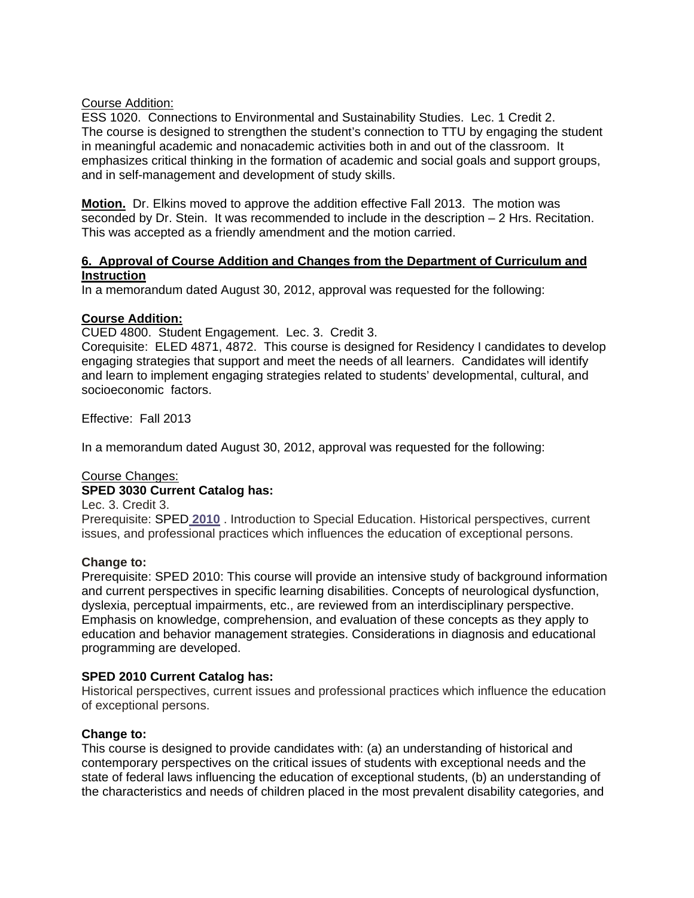### Course Addition:

ESS 1020. Connections to Environmental and Sustainability Studies. Lec. 1 Credit 2. The course is designed to strengthen the student's connection to TTU by engaging the student in meaningful academic and nonacademic activities both in and out of the classroom. It emphasizes critical thinking in the formation of academic and social goals and support groups, and in self-management and development of study skills.

**Motion.** Dr. Elkins moved to approve the addition effective Fall 2013. The motion was seconded by Dr. Stein. It was recommended to include in the description – 2 Hrs. Recitation. This was accepted as a friendly amendment and the motion carried.

# **6. Approval of Course Addition and Changes from the Department of Curriculum and Instruction**

In a memorandum dated August 30, 2012, approval was requested for the following:

### **Course Addition:**

CUED 4800. Student Engagement. Lec. 3. Credit 3.

Corequisite: ELED 4871, 4872. This course is designed for Residency I candidates to develop engaging strategies that support and meet the needs of all learners. Candidates will identify and learn to implement engaging strategies related to students' developmental, cultural, and socioeconomic factors.

Effective: Fall 2013

In a memorandum dated August 30, 2012, approval was requested for the following:

# Course Changes:

# **SPED 3030 Current Catalog has:**

Lec. 3. Credit 3.

Prerequisite: SPED **2010** . Introduction to Special Education. Historical perspectives, current issues, and professional practices which influences the education of exceptional persons.

### **Change to:**

Prerequisite: SPED 2010: This course will provide an intensive study of background information and current perspectives in specific learning disabilities. Concepts of neurological dysfunction, dyslexia, perceptual impairments, etc., are reviewed from an interdisciplinary perspective. Emphasis on knowledge, comprehension, and evaluation of these concepts as they apply to education and behavior management strategies. Considerations in diagnosis and educational programming are developed.

### **SPED 2010 Current Catalog has:**

Historical perspectives, current issues and professional practices which influence the education of exceptional persons.

### **Change to:**

This course is designed to provide candidates with: (a) an understanding of historical and contemporary perspectives on the critical issues of students with exceptional needs and the state of federal laws influencing the education of exceptional students, (b) an understanding of the characteristics and needs of children placed in the most prevalent disability categories, and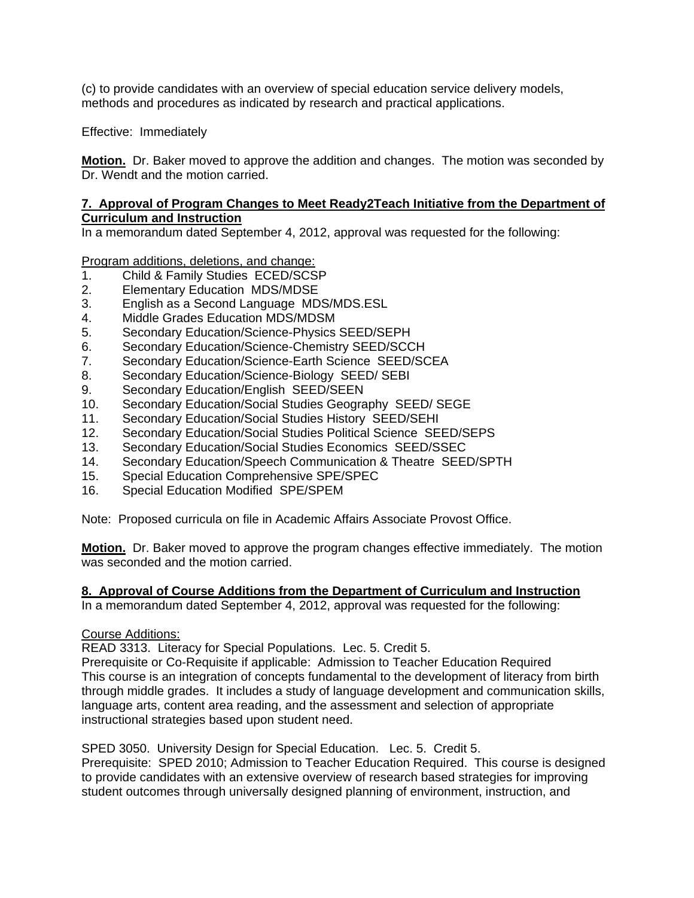(c) to provide candidates with an overview of special education service delivery models, methods and procedures as indicated by research and practical applications.

Effective: Immediately

**Motion.** Dr. Baker moved to approve the addition and changes. The motion was seconded by Dr. Wendt and the motion carried.

### **7. Approval of Program Changes to Meet Ready2Teach Initiative from the Department of Curriculum and Instruction**

In a memorandum dated September 4, 2012, approval was requested for the following:

Program additions, deletions, and change:

- 1. Child & Family Studies ECED/SCSP
- 2. Elementary Education MDS/MDSE
- 3. English as a Second Language MDS/MDS.ESL
- 4. Middle Grades Education MDS/MDSM
- 5. Secondary Education/Science-Physics SEED/SEPH
- 6. Secondary Education/Science-Chemistry SEED/SCCH
- 7. Secondary Education/Science-Earth Science SEED/SCEA
- 8. Secondary Education/Science-Biology SEED/ SEBI
- 9. Secondary Education/English SEED/SEEN
- 10. Secondary Education/Social Studies Geography SEED/ SEGE
- 11. Secondary Education/Social Studies History SEED/SEHI
- 12. Secondary Education/Social Studies Political Science SEED/SEPS
- 13. Secondary Education/Social Studies Economics SEED/SSEC
- 14. Secondary Education/Speech Communication & Theatre SEED/SPTH
- 15. Special Education Comprehensive SPE/SPEC
- 16. Special Education Modified SPE/SPEM

Note: Proposed curricula on file in Academic Affairs Associate Provost Office.

**Motion.** Dr. Baker moved to approve the program changes effective immediately. The motion was seconded and the motion carried.

# **8. Approval of Course Additions from the Department of Curriculum and Instruction**

In a memorandum dated September 4, 2012, approval was requested for the following:

### Course Additions:

READ 3313. Literacy for Special Populations. Lec. 5. Credit 5.

Prerequisite or Co-Requisite if applicable: Admission to Teacher Education Required This course is an integration of concepts fundamental to the development of literacy from birth through middle grades. It includes a study of language development and communication skills, language arts, content area reading, and the assessment and selection of appropriate instructional strategies based upon student need.

SPED 3050. University Design for Special Education. Lec. 5. Credit 5. Prerequisite: SPED 2010; Admission to Teacher Education Required. This course is designed to provide candidates with an extensive overview of research based strategies for improving student outcomes through universally designed planning of environment, instruction, and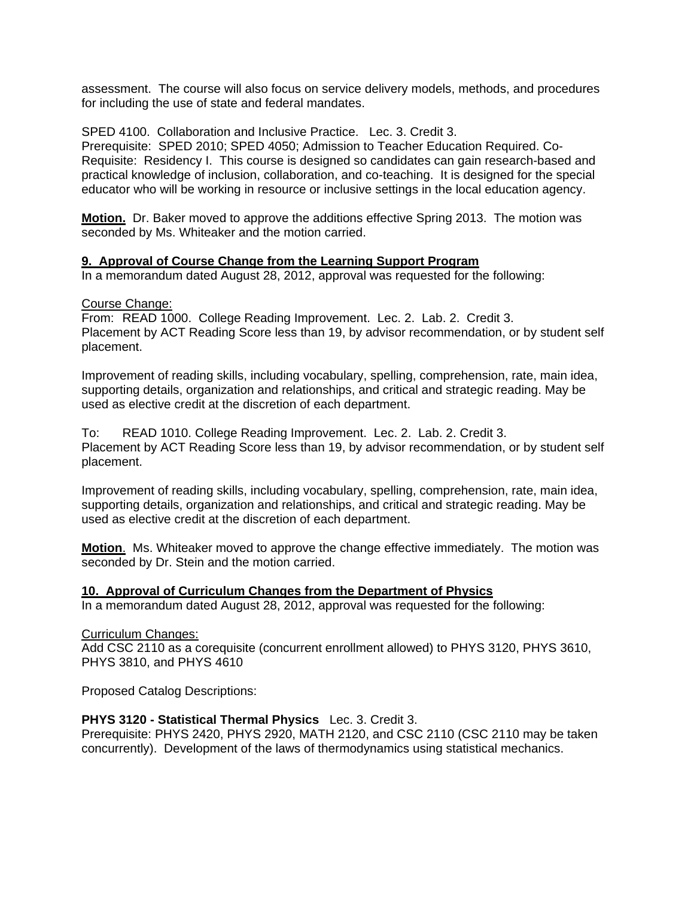assessment. The course will also focus on service delivery models, methods, and procedures for including the use of state and federal mandates.

SPED 4100. Collaboration and Inclusive Practice. Lec. 3. Credit 3.

Prerequisite: SPED 2010; SPED 4050; Admission to Teacher Education Required. Co-Requisite: Residency I. This course is designed so candidates can gain research-based and practical knowledge of inclusion, collaboration, and co-teaching. It is designed for the special educator who will be working in resource or inclusive settings in the local education agency.

**Motion.** Dr. Baker moved to approve the additions effective Spring 2013. The motion was seconded by Ms. Whiteaker and the motion carried.

### **9. Approval of Course Change from the Learning Support Program**

In a memorandum dated August 28, 2012, approval was requested for the following:

# Course Change:

From: READ 1000. College Reading Improvement. Lec. 2. Lab. 2. Credit 3. Placement by ACT Reading Score less than 19, by advisor recommendation, or by student self placement.

Improvement of reading skills, including vocabulary, spelling, comprehension, rate, main idea, supporting details, organization and relationships, and critical and strategic reading. May be used as elective credit at the discretion of each department.

To: READ 1010. College Reading Improvement. Lec. 2. Lab. 2. Credit 3. Placement by ACT Reading Score less than 19, by advisor recommendation, or by student self placement.

Improvement of reading skills, including vocabulary, spelling, comprehension, rate, main idea, supporting details, organization and relationships, and critical and strategic reading. May be used as elective credit at the discretion of each department.

**Motion**. Ms. Whiteaker moved to approve the change effective immediately. The motion was seconded by Dr. Stein and the motion carried.

### **10. Approval of Curriculum Changes from the Department of Physics**

In a memorandum dated August 28, 2012, approval was requested for the following:

### Curriculum Changes:

Add CSC 2110 as a corequisite (concurrent enrollment allowed) to PHYS 3120, PHYS 3610, PHYS 3810, and PHYS 4610

Proposed Catalog Descriptions:

### **PHYS 3120 - Statistical Thermal Physics** Lec. 3. Credit 3.

Prerequisite: PHYS 2420, PHYS 2920, MATH 2120, and CSC 2110 (CSC 2110 may be taken concurrently). Development of the laws of thermodynamics using statistical mechanics.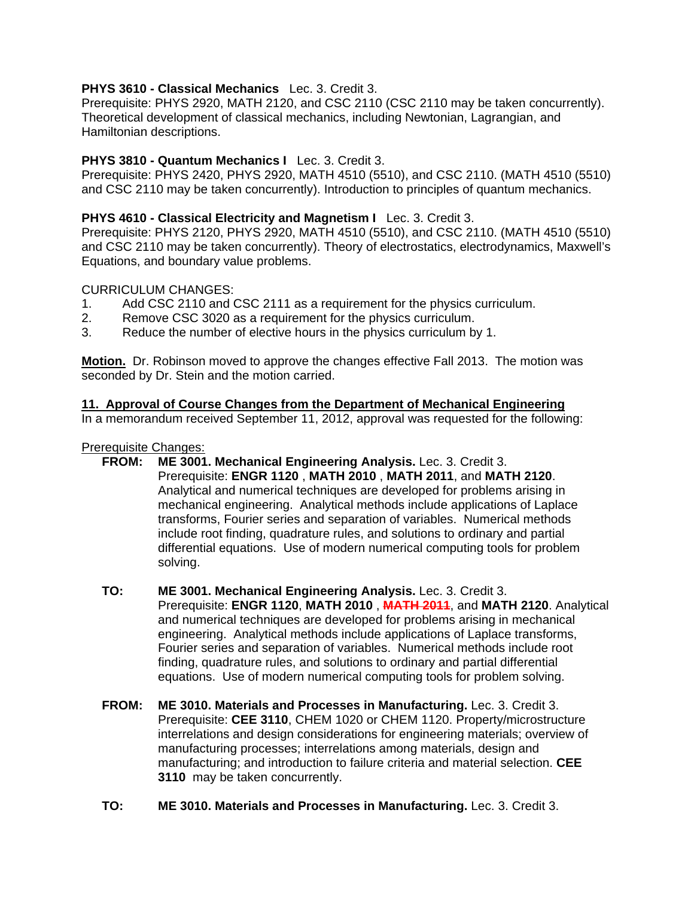# **PHYS 3610 - Classical Mechanics** Lec. 3. Credit 3.

Prerequisite: PHYS 2920, MATH 2120, and CSC 2110 (CSC 2110 may be taken concurrently). Theoretical development of classical mechanics, including Newtonian, Lagrangian, and Hamiltonian descriptions.

# **PHYS 3810 - Quantum Mechanics I** Lec. 3. Credit 3.

Prerequisite: PHYS 2420, PHYS 2920, MATH 4510 (5510), and CSC 2110. (MATH 4510 (5510) and CSC 2110 may be taken concurrently). Introduction to principles of quantum mechanics.

### **PHYS 4610 - Classical Electricity and Magnetism I** Lec. 3. Credit 3.

Prerequisite: PHYS 2120, PHYS 2920, MATH 4510 (5510), and CSC 2110. (MATH 4510 (5510) and CSC 2110 may be taken concurrently). Theory of electrostatics, electrodynamics, Maxwell's Equations, and boundary value problems.

### CURRICULUM CHANGES:

- 1. Add CSC 2110 and CSC 2111 as a requirement for the physics curriculum.
- 2. Remove CSC 3020 as a requirement for the physics curriculum.
- 3. Reduce the number of elective hours in the physics curriculum by 1.

**Motion.** Dr. Robinson moved to approve the changes effective Fall 2013. The motion was seconded by Dr. Stein and the motion carried.

### **11. Approval of Course Changes from the Department of Mechanical Engineering**

In a memorandum received September 11, 2012, approval was requested for the following:

Prerequisite Changes:

- **FROM: ME 3001. Mechanical Engineering Analysis.** Lec. 3. Credit 3. Prerequisite: **ENGR 1120** , **MATH 2010** , **MATH 2011**, and **MATH 2120**. Analytical and numerical techniques are developed for problems arising in mechanical engineering. Analytical methods include applications of Laplace transforms, Fourier series and separation of variables. Numerical methods include root finding, quadrature rules, and solutions to ordinary and partial differential equations. Use of modern numerical computing tools for problem solving.
- **TO: ME 3001. Mechanical Engineering Analysis.** Lec. 3. Credit 3. Prerequisite: **ENGR 1120**, **MATH 2010** , **MATH 2011**, and **MATH 2120**. Analytical and numerical techniques are developed for problems arising in mechanical engineering. Analytical methods include applications of Laplace transforms, Fourier series and separation of variables. Numerical methods include root finding, quadrature rules, and solutions to ordinary and partial differential equations. Use of modern numerical computing tools for problem solving.
- **FROM: ME 3010. Materials and Processes in Manufacturing.** Lec. 3. Credit 3. Prerequisite: **CEE 3110**, CHEM 1020 or CHEM 1120. Property/microstructure interrelations and design considerations for engineering materials; overview of manufacturing processes; interrelations among materials, design and manufacturing; and introduction to failure criteria and material selection. **CEE 3110** may be taken concurrently.
- **TO: ME 3010. Materials and Processes in Manufacturing.** Lec. 3. Credit 3.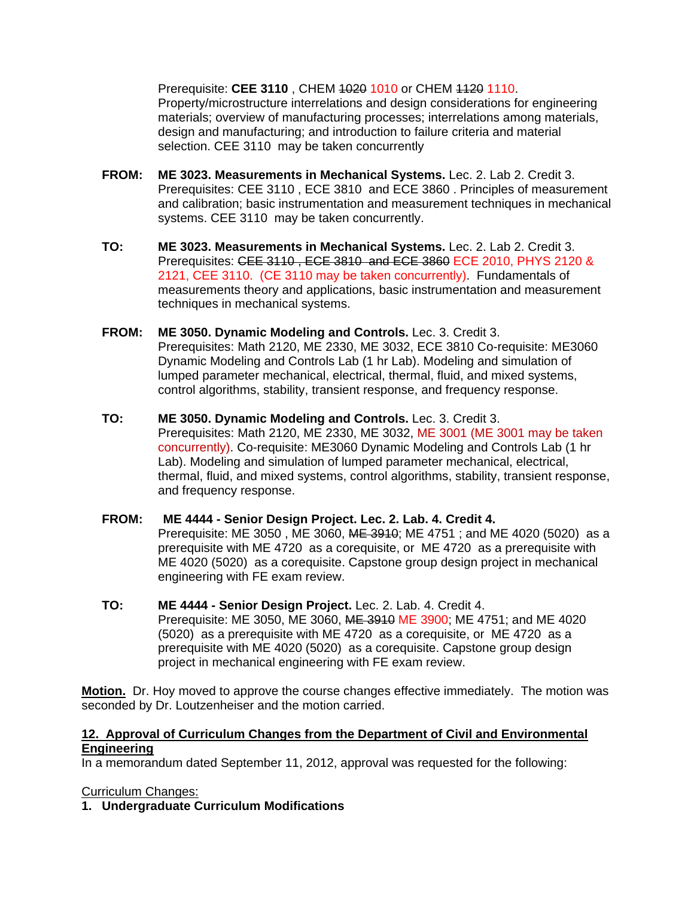Prerequisite: **CEE 3110** , CHEM 1020 1010 or CHEM 1120 1110. Property/microstructure interrelations and design considerations for engineering materials; overview of manufacturing processes; interrelations among materials, design and manufacturing; and introduction to failure criteria and material selection. CEE 3110 may be taken concurrently

- **FROM: ME 3023. Measurements in Mechanical Systems.** Lec. 2. Lab 2. Credit 3. Prerequisites: CEE 3110 , ECE 3810 and ECE 3860 . Principles of measurement and calibration; basic instrumentation and measurement techniques in mechanical systems. CEE 3110 may be taken concurrently.
- **TO: ME 3023. Measurements in Mechanical Systems.** Lec. 2. Lab 2. Credit 3. Prerequisites: CEE 3110 , ECE 3810 and ECE 3860 ECE 2010, PHYS 2120 & 2121, CEE 3110. (CE 3110 may be taken concurrently). Fundamentals of measurements theory and applications, basic instrumentation and measurement techniques in mechanical systems.
- **FROM: ME 3050. Dynamic Modeling and Controls.** Lec. 3. Credit 3. Prerequisites: Math 2120, ME 2330, ME 3032, ECE 3810 Co-requisite: ME3060 Dynamic Modeling and Controls Lab (1 hr Lab). Modeling and simulation of lumped parameter mechanical, electrical, thermal, fluid, and mixed systems, control algorithms, stability, transient response, and frequency response.
- **TO: ME 3050. Dynamic Modeling and Controls.** Lec. 3. Credit 3. Prerequisites: Math 2120, ME 2330, ME 3032, ME 3001 (ME 3001 may be taken concurrently). Co-requisite: ME3060 Dynamic Modeling and Controls Lab (1 hr Lab). Modeling and simulation of lumped parameter mechanical, electrical, thermal, fluid, and mixed systems, control algorithms, stability, transient response, and frequency response.
- **FROM: ME 4444 Senior Design Project. Lec. 2. Lab. 4. Credit 4.**  Prerequisite: ME 3050 , ME 3060, ME 3910; ME 4751 ; and ME 4020 (5020) as a prerequisite with ME 4720 as a corequisite, or ME 4720 as a prerequisite with ME 4020 (5020) as a corequisite. Capstone group design project in mechanical engineering with FE exam review.
- **TO: ME 4444 Senior Design Project.** Lec. 2. Lab. 4. Credit 4. Prerequisite: ME 3050, ME 3060, ME 3910 ME 3900; ME 4751; and ME 4020 (5020) as a prerequisite with ME 4720 as a corequisite, or ME 4720 as a prerequisite with ME 4020 (5020) as a corequisite. Capstone group design project in mechanical engineering with FE exam review.

**Motion.** Dr. Hoy moved to approve the course changes effective immediately. The motion was seconded by Dr. Loutzenheiser and the motion carried.

# **12. Approval of Curriculum Changes from the Department of Civil and Environmental Engineering**

In a memorandum dated September 11, 2012, approval was requested for the following:

Curriculum Changes:

**1. Undergraduate Curriculum Modifications**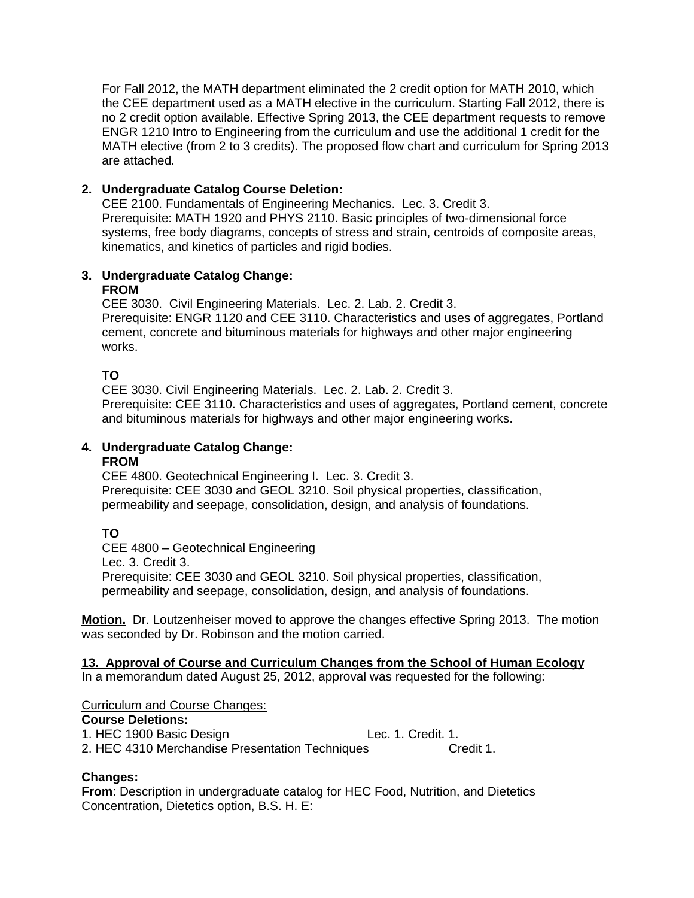For Fall 2012, the MATH department eliminated the 2 credit option for MATH 2010, which the CEE department used as a MATH elective in the curriculum. Starting Fall 2012, there is no 2 credit option available. Effective Spring 2013, the CEE department requests to remove ENGR 1210 Intro to Engineering from the curriculum and use the additional 1 credit for the MATH elective (from 2 to 3 credits). The proposed flow chart and curriculum for Spring 2013 are attached.

# **2. Undergraduate Catalog Course Deletion:**

CEE 2100. Fundamentals of Engineering Mechanics. Lec. 3. Credit 3. Prerequisite: MATH 1920 and PHYS 2110. Basic principles of two-dimensional force systems, free body diagrams, concepts of stress and strain, centroids of composite areas, kinematics, and kinetics of particles and rigid bodies.

### **3. Undergraduate Catalog Change: FROM**

CEE 3030. Civil Engineering Materials. Lec. 2. Lab. 2. Credit 3. Prerequisite: ENGR 1120 and CEE 3110. Characteristics and uses of aggregates, Portland cement, concrete and bituminous materials for highways and other major engineering works.

# **TO**

CEE 3030. Civil Engineering Materials. Lec. 2. Lab. 2. Credit 3. Prerequisite: CEE 3110. Characteristics and uses of aggregates, Portland cement, concrete and bituminous materials for highways and other major engineering works.

# **4. Undergraduate Catalog Change:**

# **FROM**

CEE 4800. Geotechnical Engineering I. Lec. 3. Credit 3. Prerequisite: CEE 3030 and GEOL 3210. Soil physical properties, classification, permeability and seepage, consolidation, design, and analysis of foundations.

# **TO**

CEE 4800 – Geotechnical Engineering Lec. 3. Credit 3. Prerequisite: CEE 3030 and GEOL 3210. Soil physical properties, classification, permeability and seepage, consolidation, design, and analysis of foundations.

**Motion.** Dr. Loutzenheiser moved to approve the changes effective Spring 2013. The motion was seconded by Dr. Robinson and the motion carried.

# **13. Approval of Course and Curriculum Changes from the School of Human Ecology**

In a memorandum dated August 25, 2012, approval was requested for the following:

Curriculum and Course Changes:

# **Course Deletions:**

1. HEC 1900 Basic Design Lec. 1. Credit. 1.

2. HEC 4310 Merchandise Presentation Techniques Credit 1.

# **Changes:**

**From**: Description in undergraduate catalog for HEC Food, Nutrition, and Dietetics Concentration, Dietetics option, B.S. H. E: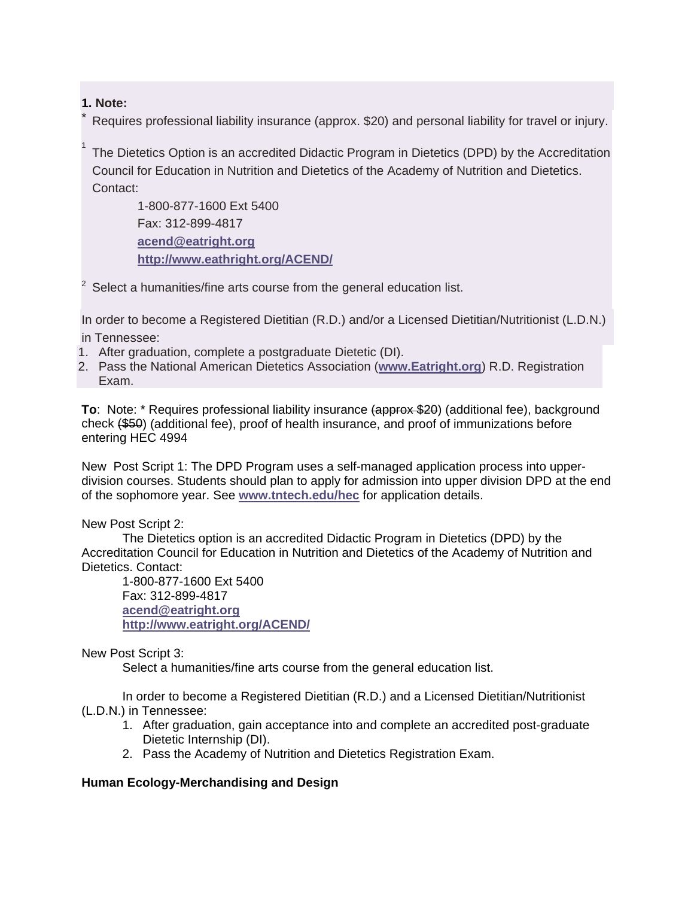**1. Note:** 

1

Requires professional liability insurance (approx. \$20) and personal liability for travel or injury.

The Dietetics Option is an accredited Didactic Program in Dietetics (DPD) by the Accreditation Council for Education in Nutrition and Dietetics of the Academy of Nutrition and Dietetics. Contact:

1-800-877-1600 Ext 5400 Fax: 312-899-4817 **acend@eatright.org http://www.eathright.org/ACEND/**

 $2^2$  Select a humanities/fine arts course from the general education list.

In order to become a Registered Dietitian (R.D.) and/or a Licensed Dietitian/Nutritionist (L.D.N.) in Tennessee:

- 
- 1. After graduation, complete a postgraduate Dietetic (DI).
- 2. Pass the National American Dietetics Association (**www.Eatright.org**) R.D. Registration Exam.

**To:** Note: \* Requires professional liability insurance (approx \$20) (additional fee), background check (\$50) (additional fee), proof of health insurance, and proof of immunizations before entering HEC 4994

New Post Script 1: The DPD Program uses a self-managed application process into upperdivision courses. Students should plan to apply for admission into upper division DPD at the end of the sophomore year. See **www.tntech.edu/hec** for application details.

# New Post Script 2:

 The Dietetics option is an accredited Didactic Program in Dietetics (DPD) by the Accreditation Council for Education in Nutrition and Dietetics of the Academy of Nutrition and Dietetics. Contact:

 1-800-877-1600 Ext 5400 Fax: 312-899-4817 **acend@eatright.org http://www.eatright.org/ACEND/**

# New Post Script 3:

Select a humanities/fine arts course from the general education list.

 In order to become a Registered Dietitian (R.D.) and a Licensed Dietitian/Nutritionist (L.D.N.) in Tennessee:

- 1. After graduation, gain acceptance into and complete an accredited post-graduate Dietetic Internship (DI).
- 2. Pass the Academy of Nutrition and Dietetics Registration Exam.

# **Human Ecology-Merchandising and Design**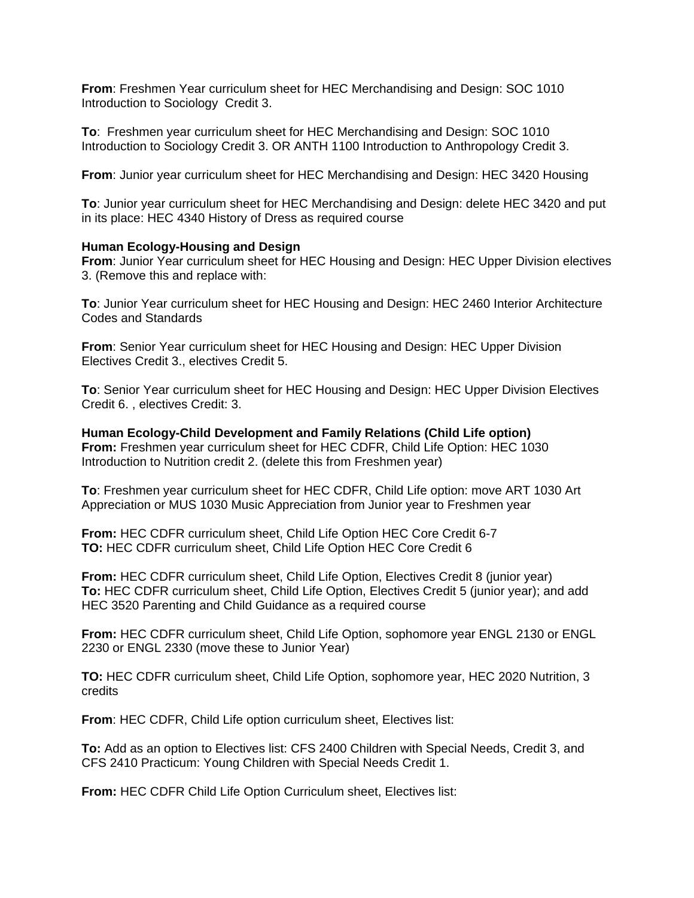**From**: Freshmen Year curriculum sheet for HEC Merchandising and Design: SOC 1010 Introduction to Sociology Credit 3.

**To**: Freshmen year curriculum sheet for HEC Merchandising and Design: SOC 1010 Introduction to Sociology Credit 3. OR ANTH 1100 Introduction to Anthropology Credit 3.

**From**: Junior year curriculum sheet for HEC Merchandising and Design: HEC 3420 Housing

**To**: Junior year curriculum sheet for HEC Merchandising and Design: delete HEC 3420 and put in its place: HEC 4340 History of Dress as required course

#### **Human Ecology-Housing and Design**

**From**: Junior Year curriculum sheet for HEC Housing and Design: HEC Upper Division electives 3. (Remove this and replace with:

**To**: Junior Year curriculum sheet for HEC Housing and Design: HEC 2460 Interior Architecture Codes and Standards

**From**: Senior Year curriculum sheet for HEC Housing and Design: HEC Upper Division Electives Credit 3., electives Credit 5.

**To**: Senior Year curriculum sheet for HEC Housing and Design: HEC Upper Division Electives Credit 6. , electives Credit: 3.

**Human Ecology-Child Development and Family Relations (Child Life option) From:** Freshmen year curriculum sheet for HEC CDFR, Child Life Option: HEC 1030 Introduction to Nutrition credit 2. (delete this from Freshmen year)

**To**: Freshmen year curriculum sheet for HEC CDFR, Child Life option: move ART 1030 Art Appreciation or MUS 1030 Music Appreciation from Junior year to Freshmen year

**From:** HEC CDFR curriculum sheet, Child Life Option HEC Core Credit 6-7 **TO:** HEC CDFR curriculum sheet, Child Life Option HEC Core Credit 6

**From:** HEC CDFR curriculum sheet, Child Life Option, Electives Credit 8 (junior year) **To:** HEC CDFR curriculum sheet, Child Life Option, Electives Credit 5 (junior year); and add HEC 3520 Parenting and Child Guidance as a required course

**From:** HEC CDFR curriculum sheet, Child Life Option, sophomore year ENGL 2130 or ENGL 2230 or ENGL 2330 (move these to Junior Year)

**TO:** HEC CDFR curriculum sheet, Child Life Option, sophomore year, HEC 2020 Nutrition, 3 credits

**From**: HEC CDFR, Child Life option curriculum sheet, Electives list:

**To:** Add as an option to Electives list: CFS 2400 Children with Special Needs, Credit 3, and CFS 2410 Practicum: Young Children with Special Needs Credit 1.

**From:** HEC CDFR Child Life Option Curriculum sheet, Electives list: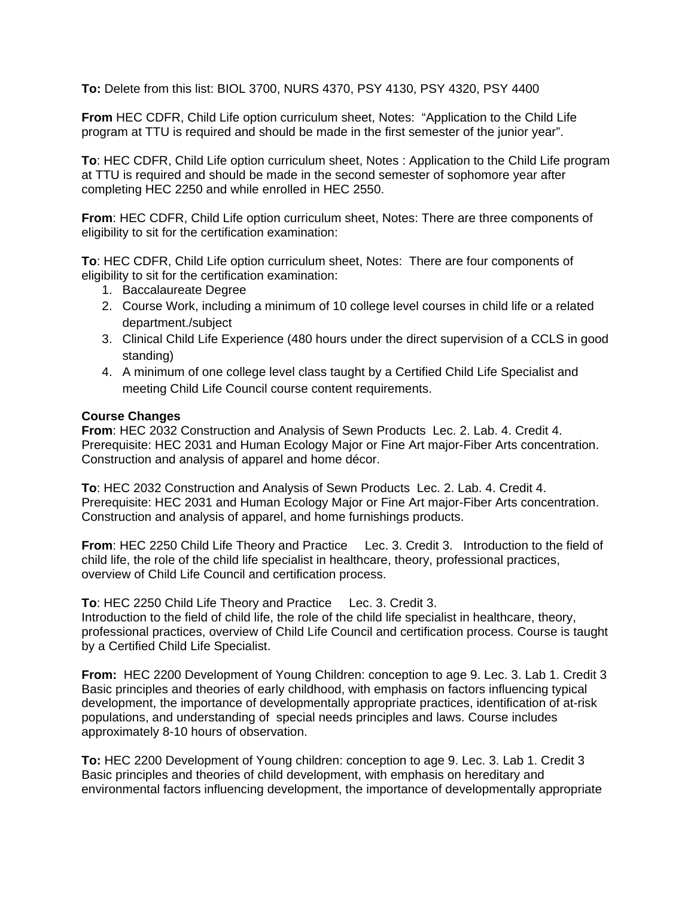**To:** Delete from this list: BIOL 3700, NURS 4370, PSY 4130, PSY 4320, PSY 4400

**From** HEC CDFR, Child Life option curriculum sheet, Notes: "Application to the Child Life program at TTU is required and should be made in the first semester of the junior year".

**To**: HEC CDFR, Child Life option curriculum sheet, Notes : Application to the Child Life program at TTU is required and should be made in the second semester of sophomore year after completing HEC 2250 and while enrolled in HEC 2550.

**From**: HEC CDFR, Child Life option curriculum sheet, Notes: There are three components of eligibility to sit for the certification examination:

**To**: HEC CDFR, Child Life option curriculum sheet, Notes: There are four components of eligibility to sit for the certification examination:

- 1. Baccalaureate Degree
- 2. Course Work, including a minimum of 10 college level courses in child life or a related department./subject
- 3. Clinical Child Life Experience (480 hours under the direct supervision of a CCLS in good standing)
- 4. A minimum of one college level class taught by a Certified Child Life Specialist and meeting Child Life Council course content requirements.

### **Course Changes**

**From**: HEC 2032 Construction and Analysis of Sewn Products Lec. 2. Lab. 4. Credit 4. Prerequisite: HEC 2031 and Human Ecology Major or Fine Art major-Fiber Arts concentration. Construction and analysis of apparel and home décor.

**To**: HEC 2032 Construction and Analysis of Sewn Products Lec. 2. Lab. 4. Credit 4. Prerequisite: HEC 2031 and Human Ecology Major or Fine Art major-Fiber Arts concentration. Construction and analysis of apparel, and home furnishings products.

**From**: HEC 2250 Child Life Theory and Practice Lec. 3. Credit 3. Introduction to the field of child life, the role of the child life specialist in healthcare, theory, professional practices, overview of Child Life Council and certification process.

**To**: HEC 2250 Child Life Theory and Practice Lec. 3. Credit 3.

Introduction to the field of child life, the role of the child life specialist in healthcare, theory, professional practices, overview of Child Life Council and certification process. Course is taught by a Certified Child Life Specialist.

**From:** HEC 2200 Development of Young Children: conception to age 9. Lec. 3. Lab 1. Credit 3 Basic principles and theories of early childhood, with emphasis on factors influencing typical development, the importance of developmentally appropriate practices, identification of at-risk populations, and understanding of special needs principles and laws. Course includes approximately 8-10 hours of observation.

**To:** HEC 2200 Development of Young children: conception to age 9. Lec. 3. Lab 1. Credit 3 Basic principles and theories of child development, with emphasis on hereditary and environmental factors influencing development, the importance of developmentally appropriate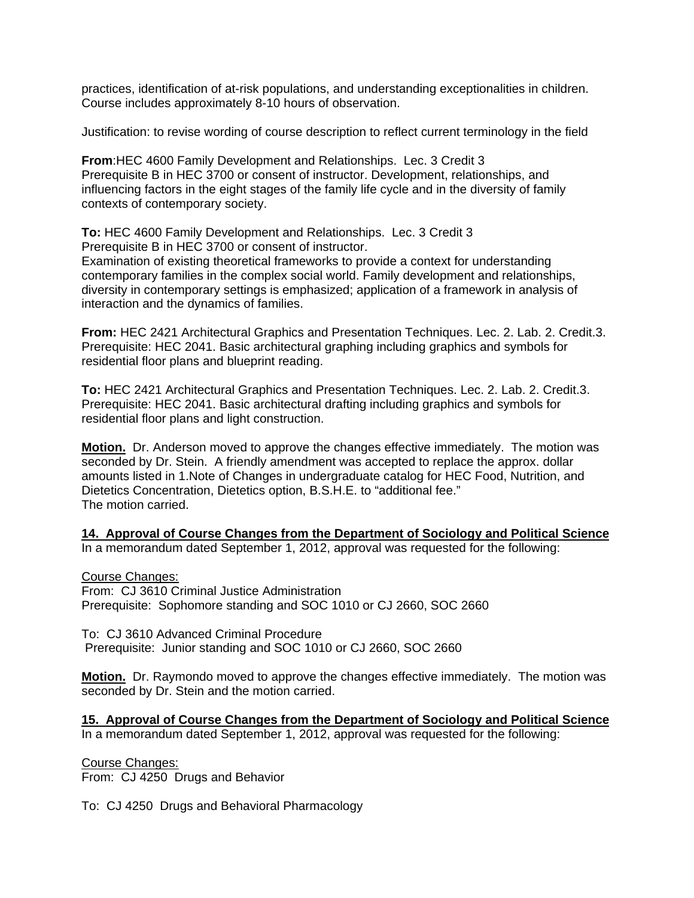practices, identification of at-risk populations, and understanding exceptionalities in children. Course includes approximately 8-10 hours of observation.

Justification: to revise wording of course description to reflect current terminology in the field

**From**:HEC 4600 Family Development and Relationships. Lec. 3 Credit 3 Prerequisite B in HEC 3700 or consent of instructor. Development, relationships, and influencing factors in the eight stages of the family life cycle and in the diversity of family contexts of contemporary society.

**To:** HEC 4600 Family Development and Relationships. Lec. 3 Credit 3 Prerequisite B in HEC 3700 or consent of instructor.

Examination of existing theoretical frameworks to provide a context for understanding contemporary families in the complex social world. Family development and relationships, diversity in contemporary settings is emphasized; application of a framework in analysis of interaction and the dynamics of families.

**From:** HEC 2421 Architectural Graphics and Presentation Techniques. Lec. 2. Lab. 2. Credit.3. Prerequisite: HEC 2041. Basic architectural graphing including graphics and symbols for residential floor plans and blueprint reading.

**To:** HEC 2421 Architectural Graphics and Presentation Techniques. Lec. 2. Lab. 2. Credit.3. Prerequisite: HEC 2041. Basic architectural drafting including graphics and symbols for residential floor plans and light construction.

**Motion.** Dr. Anderson moved to approve the changes effective immediately. The motion was seconded by Dr. Stein. A friendly amendment was accepted to replace the approx. dollar amounts listed in 1.Note of Changes in undergraduate catalog for HEC Food, Nutrition, and Dietetics Concentration, Dietetics option, B.S.H.E. to "additional fee." The motion carried.

**14. Approval of Course Changes from the Department of Sociology and Political Science** In a memorandum dated September 1, 2012, approval was requested for the following:

Course Changes:

From: CJ 3610 Criminal Justice Administration Prerequisite: Sophomore standing and SOC 1010 or CJ 2660, SOC 2660

To: CJ 3610 Advanced Criminal Procedure Prerequisite: Junior standing and SOC 1010 or CJ 2660, SOC 2660

**Motion.** Dr. Raymondo moved to approve the changes effective immediately. The motion was seconded by Dr. Stein and the motion carried.

**15. Approval of Course Changes from the Department of Sociology and Political Science** In a memorandum dated September 1, 2012, approval was requested for the following:

Course Changes:

From: CJ 4250 Drugs and Behavior

To: CJ 4250 Drugs and Behavioral Pharmacology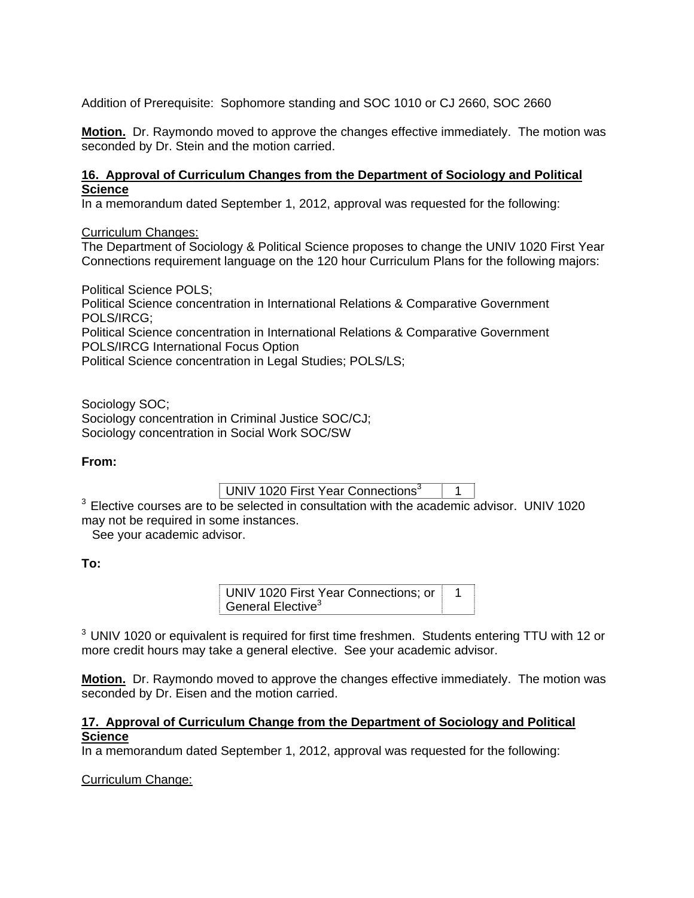Addition of Prerequisite: Sophomore standing and SOC 1010 or CJ 2660, SOC 2660

**Motion.** Dr. Raymondo moved to approve the changes effective immediately. The motion was seconded by Dr. Stein and the motion carried.

# **16. Approval of Curriculum Changes from the Department of Sociology and Political Science**

In a memorandum dated September 1, 2012, approval was requested for the following:

Curriculum Changes:

The Department of Sociology & Political Science proposes to change the UNIV 1020 First Year Connections requirement language on the 120 hour Curriculum Plans for the following majors:

Political Science POLS;

Political Science concentration in International Relations & Comparative Government POLS/IRCG; Political Science concentration in International Relations & Comparative Government

POLS/IRCG International Focus Option

Political Science concentration in Legal Studies; POLS/LS;

Sociology SOC; Sociology concentration in Criminal Justice SOC/CJ; Sociology concentration in Social Work SOC/SW

# **From:**

UNIV 1020 First Year Connections<sup>3</sup> | 1

<sup>3</sup> Elective courses are to be selected in consultation with the academic advisor. UNIV 1020 may not be required in some instances.

See your academic advisor.

# **To:**

UNIV 1020 First Year Connections; or General Elective<sup>3</sup> 1

<sup>3</sup> UNIV 1020 or equivalent is required for first time freshmen. Students entering TTU with 12 or more credit hours may take a general elective. See your academic advisor.

**Motion.** Dr. Raymondo moved to approve the changes effective immediately. The motion was seconded by Dr. Eisen and the motion carried.

### **17. Approval of Curriculum Change from the Department of Sociology and Political Science**

In a memorandum dated September 1, 2012, approval was requested for the following:

Curriculum Change: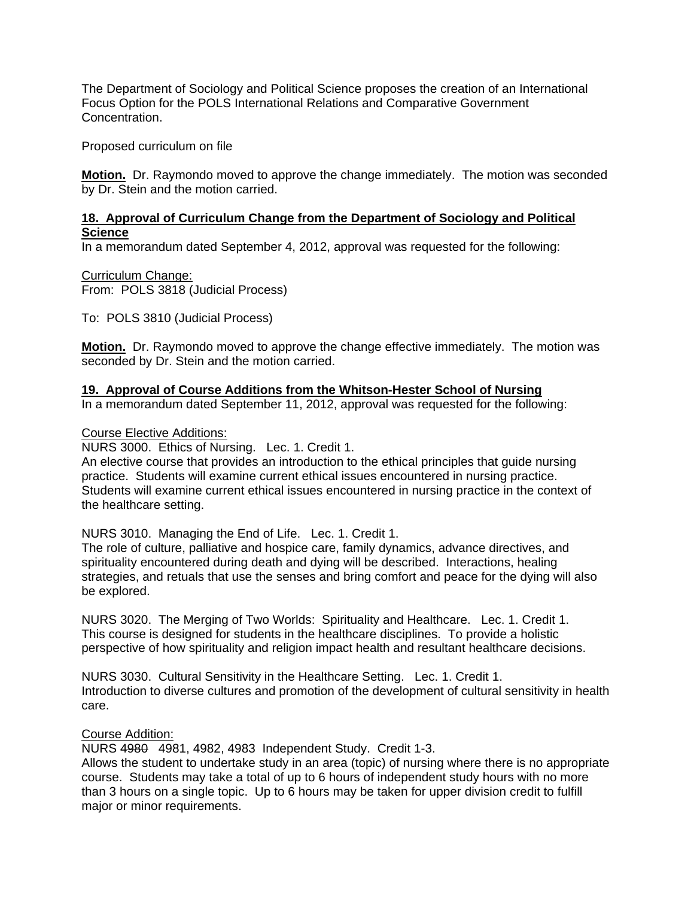The Department of Sociology and Political Science proposes the creation of an International Focus Option for the POLS International Relations and Comparative Government Concentration.

Proposed curriculum on file

**Motion.** Dr. Raymondo moved to approve the change immediately. The motion was seconded by Dr. Stein and the motion carried.

# **18. Approval of Curriculum Change from the Department of Sociology and Political Science**

In a memorandum dated September 4, 2012, approval was requested for the following:

Curriculum Change: From: POLS 3818 (Judicial Process)

To: POLS 3810 (Judicial Process)

**Motion.** Dr. Raymondo moved to approve the change effective immediately. The motion was seconded by Dr. Stein and the motion carried.

# **19. Approval of Course Additions from the Whitson-Hester School of Nursing**

In a memorandum dated September 11, 2012, approval was requested for the following:

#### Course Elective Additions:

NURS 3000. Ethics of Nursing. Lec. 1. Credit 1.

An elective course that provides an introduction to the ethical principles that guide nursing practice. Students will examine current ethical issues encountered in nursing practice. Students will examine current ethical issues encountered in nursing practice in the context of the healthcare setting.

NURS 3010. Managing the End of Life. Lec. 1. Credit 1.

The role of culture, palliative and hospice care, family dynamics, advance directives, and spirituality encountered during death and dying will be described. Interactions, healing strategies, and retuals that use the senses and bring comfort and peace for the dying will also be explored.

NURS 3020. The Merging of Two Worlds: Spirituality and Healthcare. Lec. 1. Credit 1. This course is designed for students in the healthcare disciplines. To provide a holistic perspective of how spirituality and religion impact health and resultant healthcare decisions.

NURS 3030. Cultural Sensitivity in the Healthcare Setting. Lec. 1. Credit 1. Introduction to diverse cultures and promotion of the development of cultural sensitivity in health care.

### Course Addition:

NURS 4980 4981, 4982, 4983 Independent Study. Credit 1-3.

Allows the student to undertake study in an area (topic) of nursing where there is no appropriate course. Students may take a total of up to 6 hours of independent study hours with no more than 3 hours on a single topic. Up to 6 hours may be taken for upper division credit to fulfill major or minor requirements.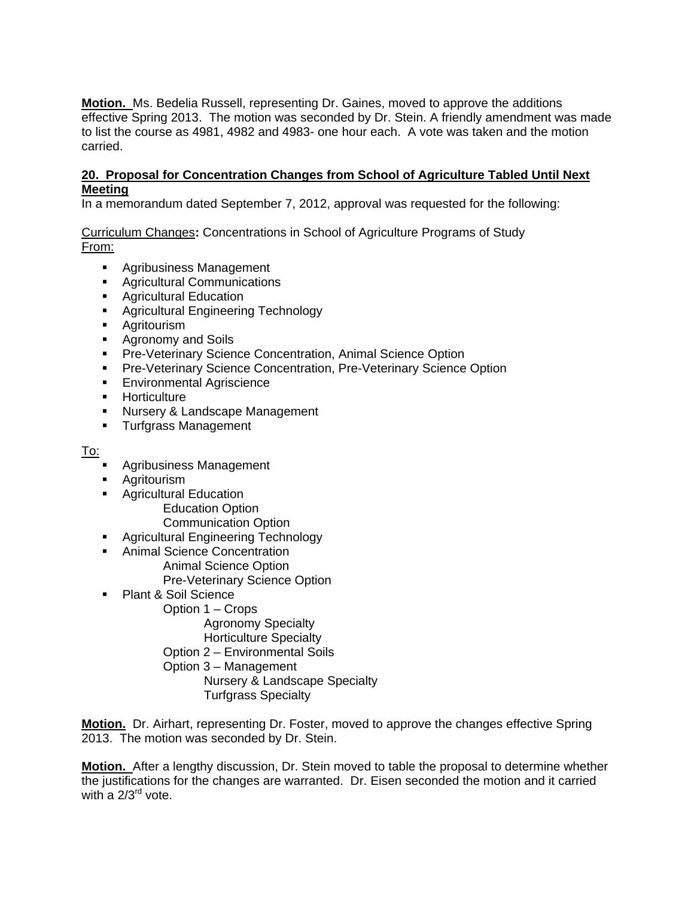**Motion.** Ms. Bedelia Russell, representing Dr. Gaines, moved to approve the additions effective Spring 2013. The motion was seconded by Dr. Stein. A friendly amendment was made to list the course as 4981, 4982 and 4983- one hour each. A vote was taken and the motion carried.

# **20. Proposal for Concentration Changes from School of Agriculture Tabled Until Next Meeting**

In a memorandum dated September 7, 2012, approval was requested for the following:

Curriculum Changes**:** Concentrations in School of Agriculture Programs of Study From:

- **Agribusiness Management**
- **EXECUTE Agricultural Communications**
- **Agricultural Education**
- **Agricultural Engineering Technology**
- **Agritourism**
- **Agronomy and Soils**
- **Pre-Veterinary Science Concentration, Animal Science Option**
- **Pre-Veterinary Science Concentration, Pre-Veterinary Science Option**
- **Environmental Agriscience**
- **-** Horticulture
- **Nursery & Landscape Management**
- **Turfgrass Management**

To:

- **Agribusiness Management**
- **Agritourism**
- **Agricultural Education** 
	- Education Option
	- Communication Option
- **Agricultural Engineering Technology**
- Animal Science Concentration
	- Animal Science Option
		- Pre-Veterinary Science Option
- Plant & Soil Science
	- Option 1 Crops
		- Agronomy Specialty
		- Horticulture Specialty
	- Option 2 Environmental Soils
	- Option 3 Management
		- Nursery & Landscape Specialty Turfgrass Specialty

**Motion.** Dr. Airhart, representing Dr. Foster, moved to approve the changes effective Spring 2013. The motion was seconded by Dr. Stein.

**Motion.** After a lengthy discussion, Dr. Stein moved to table the proposal to determine whether the justifications for the changes are warranted. Dr. Eisen seconded the motion and it carried with a  $2/3^{rd}$  vote.